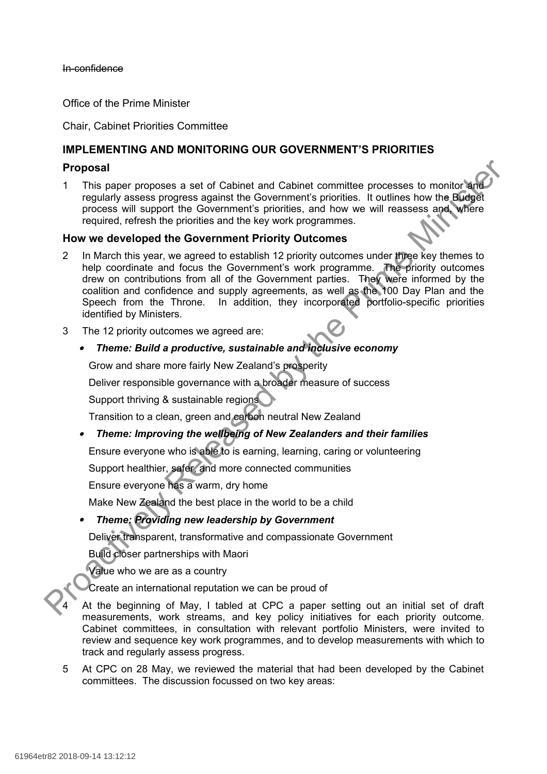#### In-confidence

Office of the Prime Minister

Chair, Cabinet Priorities Committee

# **IMPLEMENTING AND MONITORING OUR GOVERNMENT'S PRIORITIES**

### **Proposal**

1 This paper proposes a set of Cabinet and Cabinet committee processes to monitor and regularly assess progress against the Government's priorities. It outlines how the Budget process will support the Government's priorities, and how we will reassess and, where required, refresh the priorities and the key work programmes.

#### **How we developed the Government Priority Outcomes**

- 2 In March this year, we agreed to establish 12 priority outcomes under three key themes to help coordinate and focus the Government's work programme. The priority outcomes drew on contributions from all of the Government parties. They were informed by the coalition and confidence and supply agreements, as well as the 100 Day Plan and the Speech from the Throne. In addition, they incorporated portfolio-specific priorities identified by Ministers. **Proposal**<br>
1 This paper proposes a set of Cabinet and Cabinet committee processes to monitor and<br>
regularly assess progress against the Government's protities. It outlines how the Buright<br>
process will support the Govern
	- 3 The 12 priority outcomes we agreed are:

## *Theme: Build a productive, sustainable and inclusive economy*

Grow and share more fairly New Zealand's prosperity

Deliver responsible governance with a broader measure of success

Support thriving & sustainable regions

Transition to a clean, green and carbon neutral New Zealand

*Theme: Improving the wellbeing of New Zealanders and their families*

Ensure everyone who is able to is earning, learning, caring or volunteering

Support healthier, safer, and more connected communities

Ensure everyone has a warm, dry home

Make New Zealand the best place in the world to be a child

#### ø *Theme: Providing new leadership by Government*

Deliver transparent, transformative and compassionate Government

Build closer partnerships with Maori

Value who we are as a country

Create an international reputation we can be proud of

At the beginning of May, I tabled at CPC a paper setting out an initial set of draft measurements, work streams, and key policy initiatives for each priority outcome. Cabinet committees, in consultation with relevant portfolio Ministers, were invited to review and sequence key work programmes, and to develop measurements with which to track and regularly assess progress.

5 At CPC on 28 May, we reviewed the material that had been developed by the Cabinet committees. The discussion focussed on two key areas: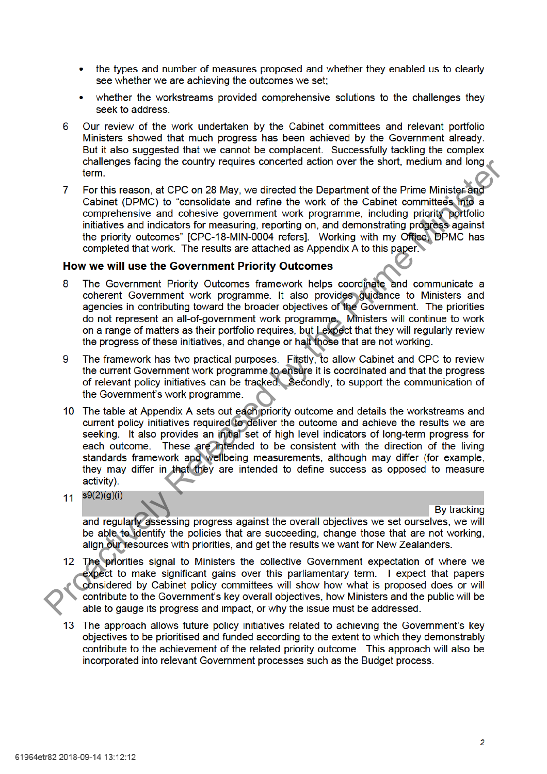- the types and number of measures proposed and whether they enabled us to clearly see whether we are achieving the outcomes we set;
- whether the workstreams provided comprehensive solutions to the challenges they seek to address
- Our review of the work undertaken by the Cabinet committees and relevant portfolio 6 Ministers showed that much progress has been achieved by the Government already. But it also suggested that we cannot be complacent. Successfully tackling the complex
- 

- 
- 
- channels taching the country requires concerned action over the smot, mealum and one term.<br>
The this reson, at CPC on 28 May, we directed the Department of the Prime Ministers<sup>2</sup> Cabinet (DPMC) to "consolidate and refine t
	-

- 
- 13 The approach allows future policy initiatives related to achieving the Government's key objectives to be prioritised and funded according to the extent to which they demonstrably contribute to the achievement of the related priority outcome. This approach will also be incorporated into relevant Government processes such as the Budget process.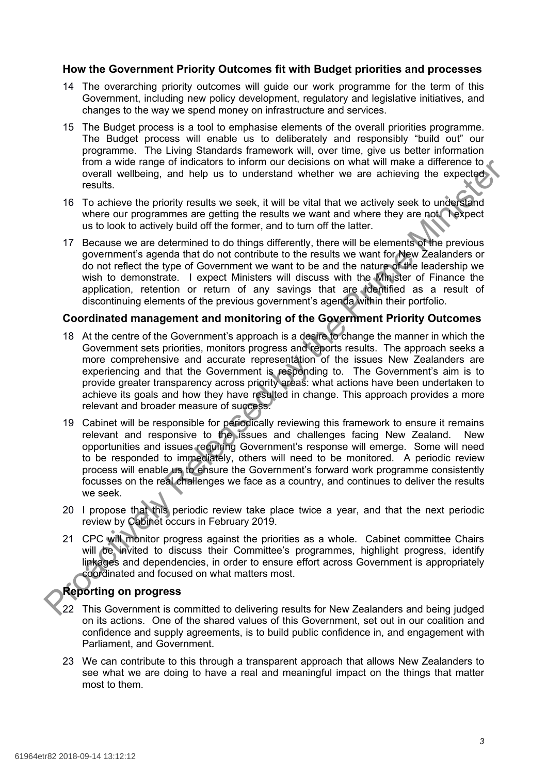#### **How the Government Priority Outcomes fit with Budget priorities and processes**

- 14 The overarching priority outcomes will guide our work programme for the term of this Government, including new policy development, regulatory and legislative initiatives, and changes to the way we spend money on infrastructure and services.
- 15 The Budget process is a tool to emphasise elements of the overall priorities programme. The Budget process will enable us to deliberately and responsibly "build out" our programme. The Living Standards framework will, over time, give us better information from a wide range of indicators to inform our decisions on what will make a difference to overall wellbeing, and help us to understand whether we are achieving the expected results.
- 16 To achieve the priority results we seek, it will be vital that we actively seek to understand where our programmes are getting the results we want and where they are not. Texpect us to look to actively build off the former, and to turn off the latter.
- 17 Because we are determined to do things differently, there will be elements of the previous government's agenda that do not contribute to the results we want for New Zealanders or do not reflect the type of Government we want to be and the nature of the leadership we wish to demonstrate. I expect Ministers will discuss with the Minister of Finance the application, retention or return of any savings that are identified as a result of discontinuing elements of the previous government's agenda within their portfolio.

#### **Coordinated management and monitoring of the Government Priority Outcomes**

- 18 At the centre of the Government's approach is a desire to change the manner in which the Government sets priorities, monitors progress and reports results. The approach seeks a more comprehensive and accurate representation of the issues New Zealanders are experiencing and that the Government is responding to. The Government's aim is to provide greater transparency across priority areas: what actions have been undertaken to achieve its goals and how they have resulted in change. This approach provides a more relevant and broader measure of success. from a wide range of indicators to internal wide may what will make a difference to the procedure of the Cost of the Cost of the Cost of the Cost of the Cost of the Cost of the Cost of the Cost of the Cost of the Cost of t
	- 19 Cabinet will be responsible for periodically reviewing this framework to ensure it remains relevant and responsive to the issues and challenges facing New Zealand. New opportunities and issues requiring Government's response will emerge. Some will need to be responded to immediately, others will need to be monitored. A periodic review process will enable us to ensure the Government's forward work programme consistently focusses on the real challenges we face as a country, and continues to deliver the results we seek.
	- 20 I propose that this periodic review take place twice a year, and that the next periodic review by Cabinet occurs in February 2019.
	- 21 CPC will monitor progress against the priorities as a whole. Cabinet committee Chairs will be invited to discuss their Committee's programmes, highlight progress, identify linkages and dependencies, in order to ensure effort across Government is appropriately coordinated and focused on what matters most.

# **Reporting on progress**

- 22 This Government is committed to delivering results for New Zealanders and being judged on its actions. One of the shared values of this Government, set out in our coalition and confidence and supply agreements, is to build public confidence in, and engagement with Parliament, and Government.
- 23 We can contribute to this through a transparent approach that allows New Zealanders to see what we are doing to have a real and meaningful impact on the things that matter most to them.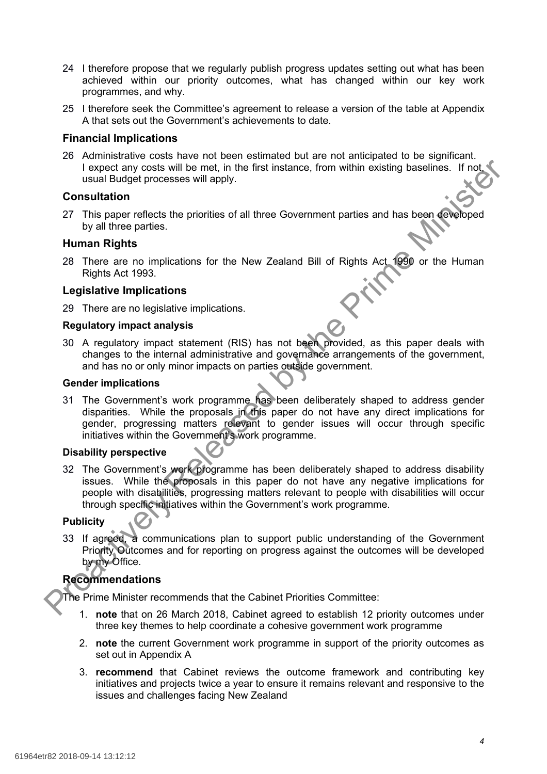- 24 I therefore propose that we regularly publish progress updates setting out what has been achieved within our priority outcomes, what has changed within our key work programmes, and why.
- 25 I therefore seek the Committee's agreement to release a version of the table at Appendix A that sets out the Government's achievements to date.

#### **Financial Implications**

26 Administrative costs have not been estimated but are not anticipated to be significant. I expect any costs will be met, in the first instance, from within existing baselines. If not, usual Budget processes will apply.

#### **Consultation**

27 This paper reflects the priorities of all three Government parties and has been developed by all three parties.

#### **Human Rights**

28 There are no implications for the New Zealand Bill of Rights Act 1990 or the Human Rights Act 1993.

#### **Legislative Implications**

29 There are no legislative implications.

#### **Regulatory impact analysis**

30 A regulatory impact statement (RIS) has not been provided, as this paper deals with changes to the internal administrative and governance arrangements of the government, and has no or only minor impacts on parties outside government.

#### **Gender implications**

31 The Government's work programme has been deliberately shaped to address gender disparities. While the proposals in this paper do not have any direct implications for gender, progressing matters relevant to gender issues will occur through specific initiatives within the Government's work programme.

#### **Disability perspective**

32 The Government's work programme has been deliberately shaped to address disability issues. While the proposals in this paper do not have any negative implications for people with disabilities, progressing matters relevant to people with disabilities will occur through specific initiatives within the Government's work programme. From particular the more are the proposals of the Super Broad and the Super Professional Broad and the Super This paper method in the Super This paper method in the Prime This paper method in the Prime and the Prime Minist

#### **Publicity**

33 If agreed, a communications plan to support public understanding of the Government Priority Outcomes and for reporting on progress against the outcomes will be developed by my Office.

# **Recommendations**

The Prime Minister recommends that the Cabinet Priorities Committee:

- 1. **note** that on 26 March 2018, Cabinet agreed to establish 12 priority outcomes under three key themes to help coordinate a cohesive government work programme
- 2. **note** the current Government work programme in support of the priority outcomes as set out in Appendix A
- 3. **recommend** that Cabinet reviews the outcome framework and contributing key initiatives and projects twice a year to ensure it remains relevant and responsive to the issues and challenges facing New Zealand